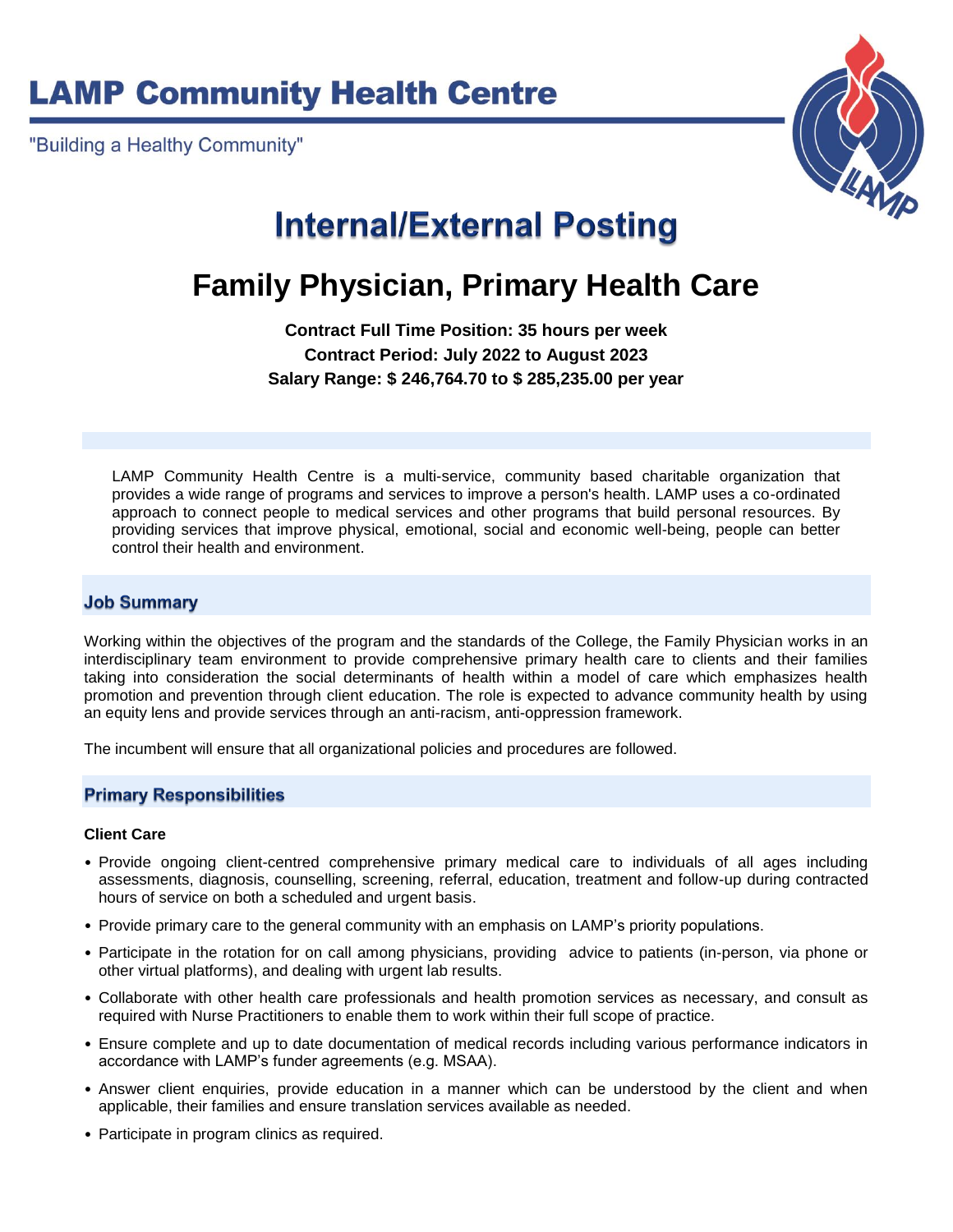# **LAMP Community Health Centre**

"Building a Healthy Community"



# **Internal/External Posting**

# **Family Physician, Primary Health Care**

**Contract Full Time Position: 35 hours per week Contract Period: July 2022 to August 2023 Salary Range: \$ 246,764.70 to \$ 285,235.00 per year**

LAMP Community Health Centre is a multi-service, community based charitable organization that provides a wide range of programs and services to improve a person's health. LAMP uses a co-ordinated approach to connect people to medical services and other programs that build personal resources. By providing services that improve physical, emotional, social and economic well-being, people can better control their health and environment.

### **Job Summary**

Working within the objectives of the program and the standards of the College, the Family Physician works in an interdisciplinary team environment to provide comprehensive primary health care to clients and their families taking into consideration the social determinants of health within a model of care which emphasizes health promotion and prevention through client education. The role is expected to advance community health by using an equity lens and provide services through an anti-racism, anti-oppression framework.

The incumbent will ensure that all organizational policies and procedures are followed.

### **Primary Responsibilities**

#### **Client Care**

- Provide ongoing client-centred comprehensive primary medical care to individuals of all ages including assessments, diagnosis, counselling, screening, referral, education, treatment and follow-up during contracted hours of service on both a scheduled and urgent basis.
- Provide primary care to the general community with an emphasis on LAMP's priority populations.
- Participate in the rotation for on call among physicians, providing advice to patients (in-person, via phone or other virtual platforms), and dealing with urgent lab results.
- Collaborate with other health care professionals and health promotion services as necessary, and consult as required with Nurse Practitioners to enable them to work within their full scope of practice.
- Ensure complete and up to date documentation of medical records including various performance indicators in accordance with LAMP's funder agreements (e.g. MSAA).
- Answer client enquiries, provide education in a manner which can be understood by the client and when applicable, their families and ensure translation services available as needed.
- Participate in program clinics as required.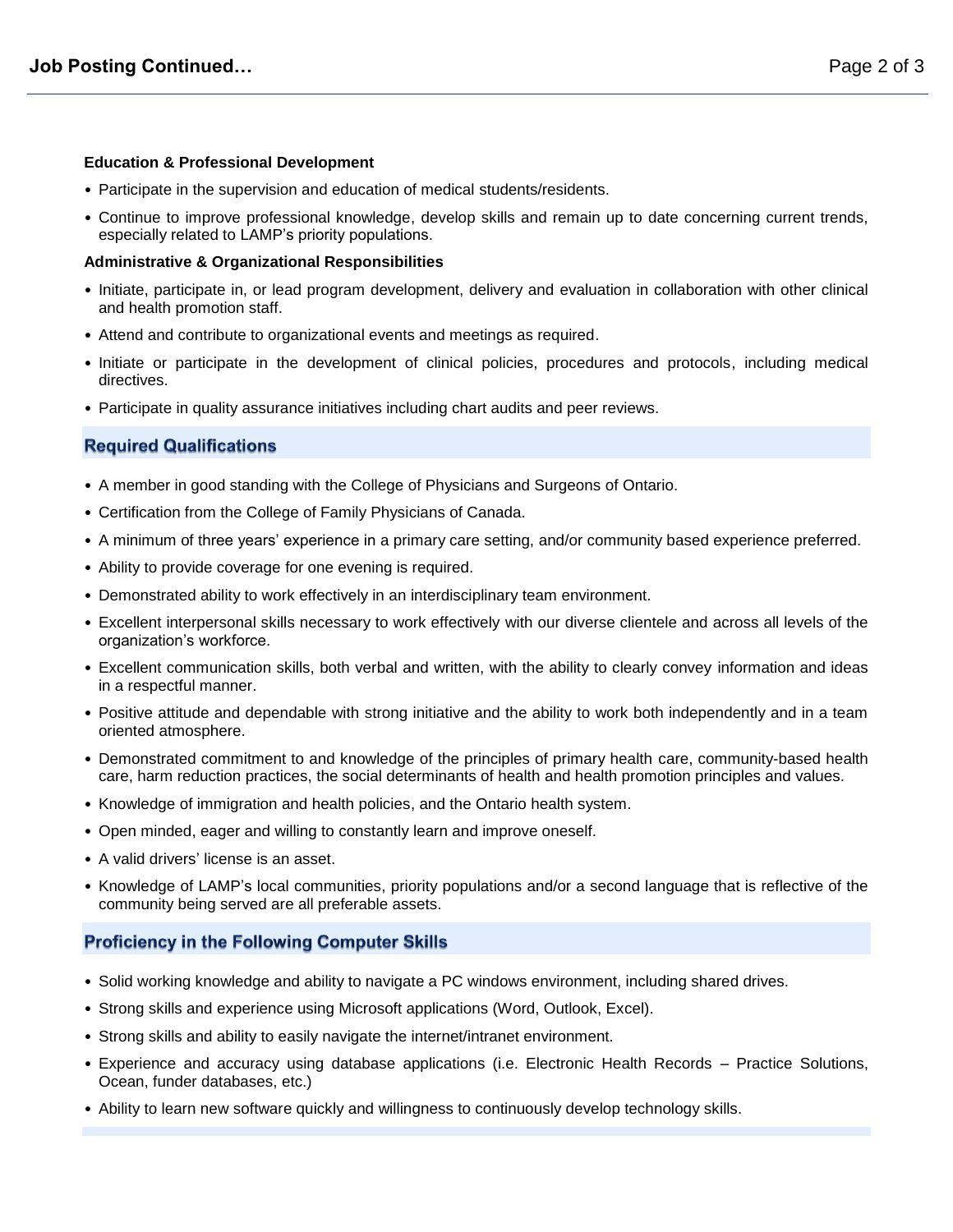#### **Education & Professional Development**

- Participate in the supervision and education of medical students/residents.
- Continue to improve professional knowledge, develop skills and remain up to date concerning current trends, especially related to LAMP's priority populations.

#### **Administrative & Organizational Responsibilities**

- Initiate, participate in, or lead program development, delivery and evaluation in collaboration with other clinical and health promotion staff.
- Attend and contribute to organizational events and meetings as required.
- Initiate or participate in the development of clinical policies, procedures and protocols, including medical directives.
- Participate in quality assurance initiatives including chart audits and peer reviews.

### **Required Qualifications**

- A member in good standing with the College of Physicians and Surgeons of Ontario.
- Certification from the College of Family Physicians of Canada.
- A minimum of three years' experience in a primary care setting, and/or community based experience preferred.
- Ability to provide coverage for one evening is required.
- Demonstrated ability to work effectively in an interdisciplinary team environment.
- Excellent interpersonal skills necessary to work effectively with our diverse clientele and across all levels of the organization's workforce.
- Excellent communication skills, both verbal and written, with the ability to clearly convey information and ideas in a respectful manner.
- Positive attitude and dependable with strong initiative and the ability to work both independently and in a team oriented atmosphere.
- Demonstrated commitment to and knowledge of the principles of primary health care, community-based health care, harm reduction practices, the social determinants of health and health promotion principles and values.
- Knowledge of immigration and health policies, and the Ontario health system.
- Open minded, eager and willing to constantly learn and improve oneself.
- A valid drivers' license is an asset.
- Knowledge of LAMP's local communities, priority populations and/or a second language that is reflective of the community being served are all preferable assets.

## **Proficiency in the Following Computer Skills**

- Solid working knowledge and ability to navigate a PC windows environment, including shared drives.
- Strong skills and experience using Microsoft applications (Word, Outlook, Excel).
- Strong skills and ability to easily navigate the internet/intranet environment.
- Experience and accuracy using database applications (i.e. Electronic Health Records Practice Solutions, Ocean, funder databases, etc.)
- Ability to learn new software quickly and willingness to continuously develop technology skills.